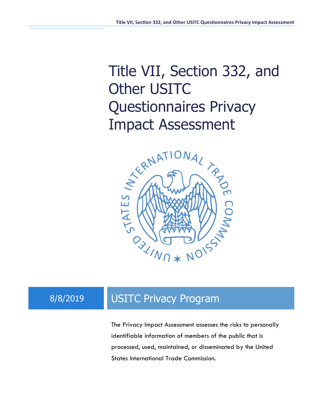# Title VII, Section 332, and Other USITC Questionnaires Privacy Impact Assessment



## 8/8/2019 USITC Privacy Program

The Privacy Impact Assessment assesses the risks to personally identifiable information of members of the public that is processed, used, maintained, or disseminated by the United States International Trade Commission.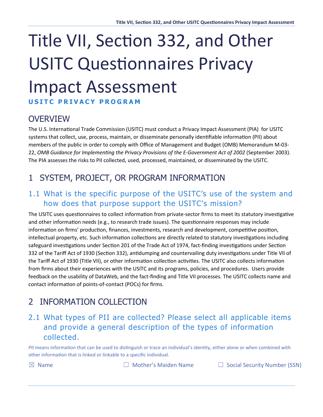# Title VII, Section 332, and Other **USITC Questionnaires Privacy** Impact Assessment **USITC PRIVACY PROGRA M**

#### **OVERVIEW**

The U.S. International Trade Commission (USITC) must conduct a Privacy Impact Assessment (PIA) for USITC systems that collect, use, process, maintain, or disseminate personally identifiable information (PII) about members of the public in order to comply with Office of Management and Budget (OMB) Memorandum M-03- 22, *OMB Guidance for Implementing the Privacy Provisions of the E-Government Act of 2002* (September 2003). The PIA assesses the risks to PII collected, used, processed, maintained, or disseminated by the USITC.

#### 1 SYSTEM, PROJECT, OR PROGRAM INFORMATION

#### 1.1 What is the specific purpose of the USITC's use of the system and how does that purpose support the USITC's mission?

The USITC uses questionnaires to collect information from private-sector firms to meet its statutory investigative and other information needs (e.g., to research trade issues). The questionnaire responses may include information on firms' production, finances, investments, research and development, competitive position, intellectual property, etc. Such information collections are directly related to statutory investigations including safeguard investigations under Section 201 of the Trade Act of 1974, fact-finding investigations under Section 332 of the Tariff Act of 1930 (Section 332), antidumping and countervailing duty investigations under Title VII of the Tariff Act of 1930 (Title VII), or other information collection activities. The USITC also collects information from firms about their experiences with the USITC and its programs, policies, and procedures. Users provide feedback on the usability of DataWeb, and the fact-finding and Title VII processes. The USITC collects name and contact information of points-of-contact (POCs) for firms.

#### 2 INFORMATION COLLECTION

#### 2.1 What types of PII are collected? Please select all applicable items and provide a general description of the types of information collected.

PII means information that can be used to distinguish or trace an individual's identity, either alone or when combined with other information that is linked or linkable to a specific individual.

☒ Name ☐ Mother's Maiden Name ☐ Social Security Number (SSN)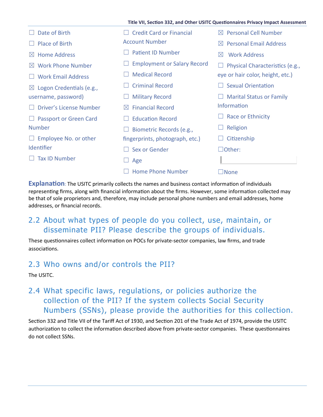|                                       |                                      | Title VII, Section 332, and Other USITC Questionnaires Privacy Impact Assessment |
|---------------------------------------|--------------------------------------|----------------------------------------------------------------------------------|
| Date of Birth                         | <b>Credit Card or Financial</b>      | <b>Personal Cell Number</b><br>$\boxtimes$                                       |
| <b>Place of Birth</b>                 | <b>Account Number</b>                | <b>Personal Email Address</b><br>$\bowtie$                                       |
| <b>Home Address</b><br>$\bowtie$      | <b>Patient ID Number</b>             | <b>Work Address</b><br>$\boxtimes$                                               |
| <b>Work Phone Number</b><br>$\bowtie$ | <b>Employment or Salary Record</b>   | Physical Characteristics (e.g.,                                                  |
| <b>Work Email Address</b>             | <b>Medical Record</b>                | eye or hair color, height, etc.)                                                 |
| $\boxtimes$ Logon Credentials (e.g.,  | <b>Criminal Record</b>               | <b>Sexual Orientation</b>                                                        |
| username, password)                   | <b>Military Record</b>               | <b>Marital Status or Family</b>                                                  |
| Driver's License Number               | <b>Financial Record</b><br>$\bowtie$ | <b>Information</b>                                                               |
| <b>Passport or Green Card</b>         | <b>Education Record</b>              | Race or Ethnicity                                                                |
| <b>Number</b>                         | Biometric Records (e.g.,             | Religion                                                                         |
| Employee No. or other                 | fingerprints, photograph, etc.)      | Citizenship                                                                      |
| Identifier                            | Sex or Gender                        | $\Box$ Other:                                                                    |
| <b>Tax ID Number</b>                  | Age                                  |                                                                                  |
|                                       | <b>Home Phone Number</b>             | $\Box$ None                                                                      |

**Explanation**: The USITC primarily collects the names and business contact information of individuals representing firms, along with financial information about the firms. However, some information collected may be that of sole proprietors and, therefore, may include personal phone numbers and email addresses, home addresses, or financial records.

#### 2.2 About what types of people do you collect, use, maintain, or disseminate PII? Please describe the groups of individuals.

These questionnaires collect information on POCs for private-sector companies, law firms, and trade associations.

#### 2.3 Who owns and/or controls the PII?

The USITC.

#### 2.4 What specific laws, regulations, or policies authorize the collection of the PII? If the system collects Social Security Numbers (SSNs), please provide the authorities for this collection.

Section 332 and Title VII of the Tariff Act of 1930, and Section 201 of the Trade Act of 1974, provide the USITC authorization to collect the information described above from private-sector companies. These questionnaires do not collect SSNs.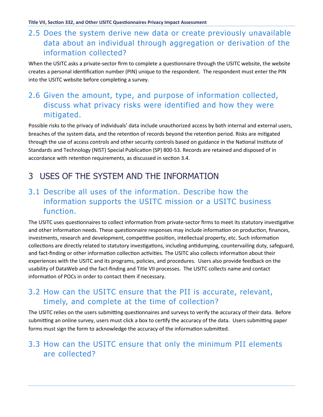#### 2.5 Does the system derive new data or create previously unavailable data about an individual through aggregation or derivation of the information collected?

When the USITC asks a private-sector firm to complete a questionnaire through the USITC website, the website creates a personal identification number (PIN) unique to the respondent. The respondent must enter the PIN into the USITC website before completing a survey.

#### 2.6 Given the amount, type, and purpose of information collected, discuss what privacy risks were identified and how they were mitigated.

Possible risks to the privacy of individuals' data include unauthorized access by both internal and external users, breaches of the system data, and the retention of records beyond the retention period. Risks are mitigated through the use of access controls and other security controls based on guidance in the National Institute of Standards and Technology (NIST) Special Publication (SP) 800-53. Records are retained and disposed of in accordance with retention requirements, as discussed in section 3.4.

### 3 USES OF THE SYSTEM AND THE INFORMATION

#### 3.1 Describe all uses of the information. Describe how the information supports the USITC mission or a USITC business function.

The USITC uses questionnaires to collect information from private-sector firms to meet its statutory investigative and other information needs. These questionnaire responses may include information on production, finances, investments, research and development, competitive position, intellectual property, etc. Such information collections are directly related to statutory investigations, including antidumping, countervailing duty, safeguard, and fact-finding or other information collection activities. The USITC also collects information about their experiences with the USITC and its programs, policies, and procedures. Users also provide feedback on the usability of DataWeb and the fact-finding and Title VII processes. The USITC collects name and contact information of POCs in order to contact them if necessary.

#### 3.2 How can the USITC ensure that the PII is accurate, relevant, timely, and complete at the time of collection?

The USITC relies on the users submitting questionnaires and surveys to verify the accuracy of their data. Before submitting an online survey, users must click a box to certify the accuracy of the data. Users submitting paper forms must sign the form to acknowledge the accuracy of the information submitted.

#### 3.3 How can the USITC ensure that only the minimum PII elements are collected?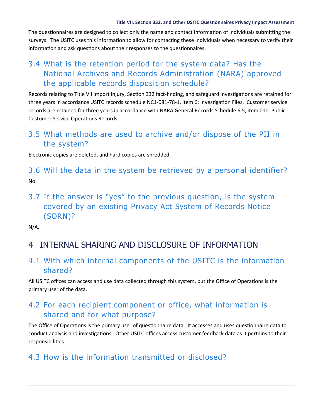The questionnaires are designed to collect only the name and contact information of individuals submitting the surveys. The USITC uses this information to allow for contacting these individuals when necessary to verify their information and ask questions about their responses to the questionnaires.

#### 3.4 What is the retention period for the system data? Has the National Archives and Records Administration (NARA) approved the applicable records disposition schedule?

Records relating to Title VII import injury, Section 332 fact-finding, and safeguard investigations are retained for three years in accordance USITC records schedule NC1-081-78-1, item 6: Investigation Files. Customer service records are retained for three years in accordance with NARA General Records Schedule 6.5, item 010: Public Customer Service Operations Records.

#### 3.5 What methods are used to archive and/or dispose of the PII in the system?

Electronic copies are deleted, and hard copies are shredded.

3.6 Will the data in the system be retrieved by a personal identifier? No.

3.7 If the answer is "yes" to the previous question, is the system covered by an existing Privacy Act System of Records Notice (SORN)?

N/A.

#### 4 INTERNAL SHARING AND DISCLOSURE OF INFORMATION

#### 4.1 With which internal components of the USITC is the information shared?

All USITC offices can access and use data collected through this system, but the Office of Operations is the primary user of the data.

#### 4.2 For each recipient component or office, what information is shared and for what purpose?

The Office of Operations is the primary user of questionnaire data. It accesses and uses questionnaire data to conduct analysis and investigations. Other USITC offices access customer feedback data as it pertains to their responsibilities.

#### 4.3 How is the information transmitted or disclosed?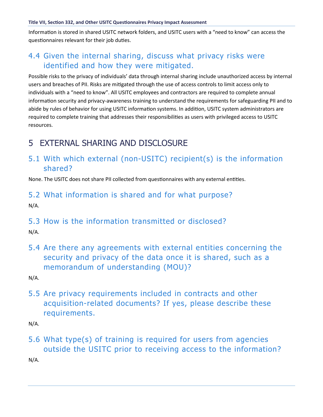#### **Title VII, Section 332, and Other USITC Questionnaires Privacy Impact Assessment**

Information is stored in shared USITC network folders, and USITC users with a "need to know" can access the questionnaires relevant for their job duties.

#### 4.4 Given the internal sharing, discuss what privacy risks were identified and how they were mitigated.

Possible risks to the privacy of individuals' data through internal sharing include unauthorized access by internal users and breaches of PII. Risks are mi�gated through the use of access controls to limit access only to individuals with a "need to know". All USITC employees and contractors are required to complete annual information security and privacy-awareness training to understand the requirements for safeguarding PII and to abide by rules of behavior for using USITC information systems. In addition, USITC system administrators are required to complete training that addresses their responsibilities as users with privileged access to USITC resources.

#### 5 EXTERNAL SHARING AND DISCLOSURE

#### 5.1 With which external (non-USITC) recipient(s) is the information shared?

None. The USITC does not share PII collected from questionnaires with any external entities.

#### 5.2 What information is shared and for what purpose? N/A.

#### 5.3 How is the information transmitted or disclosed?

N/A.

5.4 Are there any agreements with external entities concerning the security and privacy of the data once it is shared, such as a memorandum of understanding (MOU)?

N/A.

5.5 Are privacy requirements included in contracts and other acquisition-related documents? If yes, please describe these requirements.

N/A.

5.6 What type(s) of training is required for users from agencies outside the USITC prior to receiving access to the information? N/A.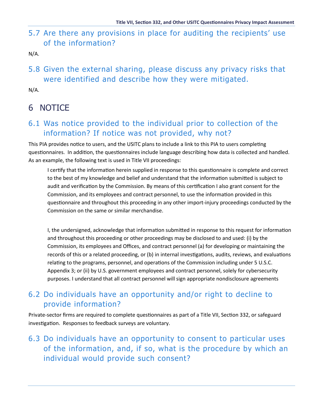#### 5.7 Are there any provisions in place for auditing the recipients' use of the information?

N/A.

5.8 Given the external sharing, please discuss any privacy risks that were identified and describe how they were mitigated.

N/A.

### 6 NOTICE

#### 6.1 Was notice provided to the individual prior to collection of the information? If notice was not provided, why not?

This PIA provides notice to users, and the USITC plans to include a link to this PIA to users completing questionnaires. In addition, the questionnaires include language describing how data is collected and handled. As an example, the following text is used in Title VII proceedings:

I certify that the information herein supplied in response to this questionnaire is complete and correct to the best of my knowledge and belief and understand that the information submitted is subject to audit and verification by the Commission. By means of this certification I also grant consent for the Commission, and its employees and contract personnel, to use the information provided in this questionnaire and throughout this proceeding in any other import-injury proceedings conducted by the Commission on the same or similar merchandise.

I, the undersigned, acknowledge that information submitted in response to this request for information and throughout this proceeding or other proceedings may be disclosed to and used: (i) by the Commission, its employees and Offices, and contract personnel (a) for developing or maintaining the records of this or a related proceeding, or (b) in internal investigations, audits, reviews, and evaluations relating to the programs, personnel, and operations of the Commission including under 5 U.S.C. Appendix 3; or (ii) by U.S. government employees and contract personnel, solely for cybersecurity purposes. I understand that all contract personnel will sign appropriate nondisclosure agreements

#### 6.2 Do individuals have an opportunity and/or right to decline to provide information?

Private-sector firms are required to complete questionnaires as part of a Title VII, Section 332, or safeguard investigation. Responses to feedback surveys are voluntary.

#### 6.3 Do individuals have an opportunity to consent to particular uses of the information, and, if so, what is the procedure by which an individual would provide such consent?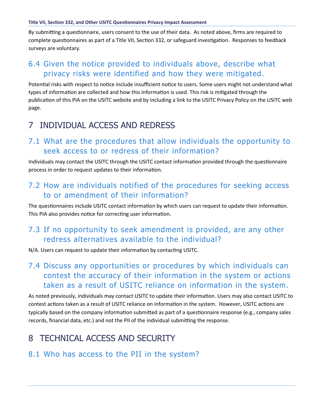#### **Title VII, Section 332, and Other USITC Questionnaires Privacy Impact Assessment**

By submitting a questionnaire, users consent to the use of their data. As noted above, firms are required to complete questionnaires as part of a Title VII, Section 332, or safeguard investigation. Responses to feedback surveys are voluntary.

#### 6.4 Given the notice provided to individuals above, describe what privacy risks were identified and how they were mitigated.

Potential risks with respect to notice include insufficient notice to users. Some users might not understand what types of information are collected and how this information is used. This risk is mitigated through the publication of this PIA on the USITC website and by including a link to the USITC Privacy Policy on the USITC web page.

#### 7 INDIVIDUAL ACCESS AND REDRESS

#### 7.1 What are the procedures that allow individuals the opportunity to seek access to or redress of their information?

Individuals may contact the USITC through the USITC contact information provided through the questionnaire process in order to request updates to their information.

#### 7.2 How are individuals notified of the procedures for seeking access to or amendment of their information?

The questionnaires include USITC contact information by which users can request to update their information. This PIA also provides notice for correcting user information.

#### 7.3 If no opportunity to seek amendment is provided, are any other redress alternatives available to the individual?

N/A. Users can request to update their information by contacting USITC.

#### 7.4 Discuss any opportunities or procedures by which individuals can contest the accuracy of their information in the system or actions taken as a result of USITC reliance on information in the system.

As noted previously, individuals may contact USITC to update their information. Users may also contact USITC to contest actions taken as a result of USITC reliance on information in the system. However, USITC actions are typically based on the company information submitted as part of a questionnaire response (e.g., company sales records, financial data, etc.) and not the PII of the individual submitting the response.

#### 8 TECHNICAL ACCESS AND SECURITY

#### 8.1 Who has access to the PII in the system?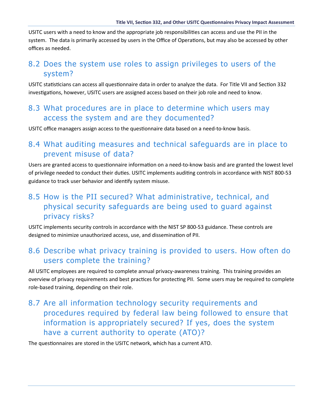USITC users with a need to know and the appropriate job responsibilities can access and use the PII in the system. The data is primarily accessed by users in the Office of Operations, but may also be accessed by other offices as needed.

#### 8.2 Does the system use roles to assign privileges to users of the system?

USITC statisticians can access all questionnaire data in order to analyze the data. For Title VII and Section 332 investigations, however, USITC users are assigned access based on their job role and need to know.

#### 8.3 What procedures are in place to determine which users may access the system and are they documented?

USITC office managers assign access to the questionnaire data based on a need-to-know basis.

#### 8.4 What auditing measures and technical safeguards are in place to prevent misuse of data?

Users are granted access to questionnaire information on a need-to-know basis and are granted the lowest level of privilege needed to conduct their duties. USITC implements auditing controls in accordance with NIST 800-53 guidance to track user behavior and iden�fy system misuse.

#### 8.5 How is the PII secured? What administrative, technical, and physical security safeguards are being used to guard against privacy risks?

USITC implements security controls in accordance with the NIST SP 800-53 guidance. These controls are designed to minimize unauthorized access, use, and dissemination of PII.

#### 8.6 Describe what privacy training is provided to users. How often do users complete the training?

All USITC employees are required to complete annual privacy-awareness training. This training provides an overview of privacy requirements and best practices for protecting PII. Some users may be required to complete role-based training, depending on their role.

8.7 Are all information technology security requirements and procedures required by federal law being followed to ensure that information is appropriately secured? If yes, does the system have a current authority to operate (ATO)?

The questionnaires are stored in the USITC network, which has a current ATO.